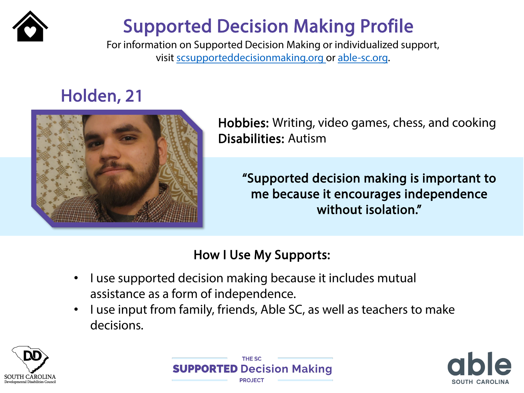

# Supported Decision Making Profile

For information on Supported Decision Making or individualized support, visit [scsupporteddecisionmaking.org](http://scsupporteddecisionmaking.org/) or [able-sc.org.](https://www.able-sc.org/)

### Holden, 21



Hobbies: Writing, video games, chess, and cooking Disabilities: Autism

"Supported decision making is important to me because it encourages independence without isolation."

#### How I Use My Supports:

- I use supported decision making because it includes mutual assistance as a form of independence.
- I use input from family, friends, Able SC, as well as teachers to make decisions.





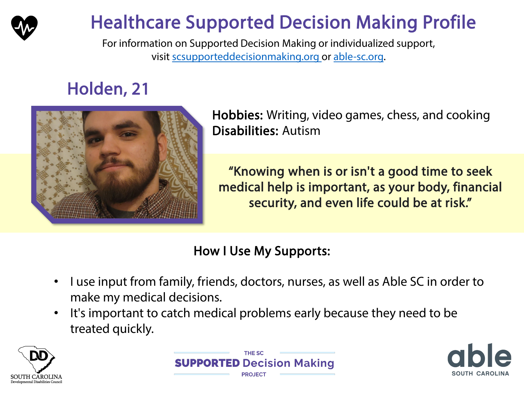

# Healthcare Supported Decision Making Profile

For information on Supported Decision Making or individualized support, visit [scsupporteddecisionmaking.org](http://scsupporteddecisionmaking.org/) or [able-sc.org.](https://www.able-sc.org/)

## Holden, 21



Hobbies: Writing, video games, chess, and cooking Disabilities: Autism

"Knowing when is or isn't a good time to seek medical help is important, as your body, financial security, and even life could be at risk."

#### How I Use My Supports:

- I use input from family, friends, doctors, nurses, as well as Able SC in order to make my medical decisions.
- It's important to catch medical problems early because they need to be treated quickly.





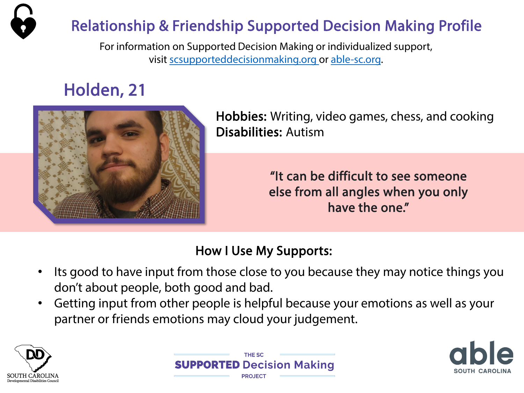

For information on Supported Decision Making or individualized support, visit [scsupporteddecisionmaking.org](http://scsupporteddecisionmaking.org/) or [able-sc.org](https://www.able-sc.org/).

### Holden, 21



Hobbies: Writing, video games, chess, and cooking Disabilities: Autism

> "It can be difficult to see someone else from all angles when you only have the one."

#### How I Use My Supports:

- Its good to have input from those close to you because they may notice things you don't about people, both good and bad.
- Getting input from other people is helpful because your emotions as well as your partner or friends emotions may cloud your judgement.